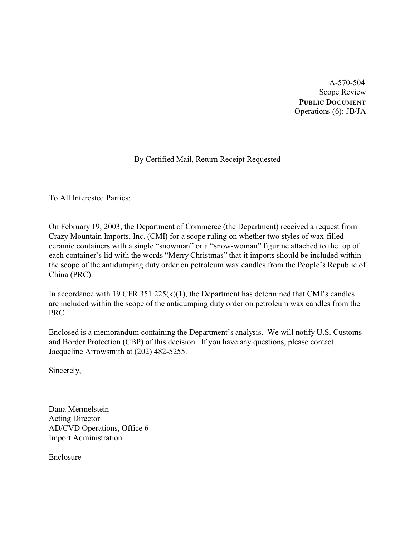A-570-504 Scope Review **PUBLIC DOCUMENT** Operations (6): JB/JA

# By Certified Mail, Return Receipt Requested

To All Interested Parties:

On February 19, 2003, the Department of Commerce (the Department) received a request from Crazy Mountain Imports, Inc. (CMI) for a scope ruling on whether two styles of wax-filled ceramic containers with a single "snowman" or a "snow-woman" figurine attached to the top of each container's lid with the words "Merry Christmas" that it imports should be included within the scope of the antidumping duty order on petroleum wax candles from the People's Republic of China (PRC).

In accordance with 19 CFR  $351.225(k)(1)$ , the Department has determined that CMI's candles are included within the scope of the antidumping duty order on petroleum wax candles from the PRC.

Enclosed is a memorandum containing the Department's analysis. We will notify U.S. Customs and Border Protection (CBP) of this decision. If you have any questions, please contact Jacqueline Arrowsmith at (202) 482-5255.

Sincerely,

Dana Mermelstein Acting Director AD/CVD Operations, Office 6 Import Administration

Enclosure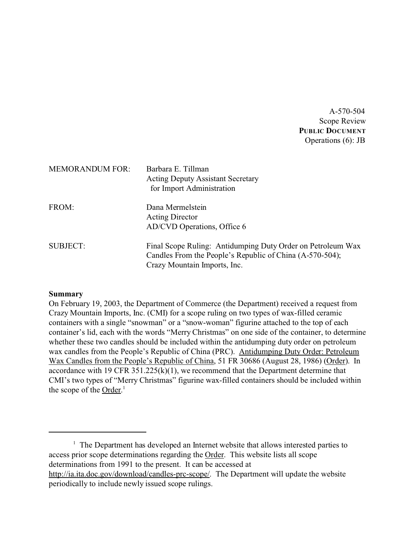A-570-504 Scope Review **PUBLIC DOCUMENT** Operations (6): JB

| <b>MEMORANDUM FOR:</b> | Barbara E. Tillman<br><b>Acting Deputy Assistant Secretary</b><br>for Import Administration                                                             |
|------------------------|---------------------------------------------------------------------------------------------------------------------------------------------------------|
| FROM:                  | Dana Mermelstein<br><b>Acting Director</b><br>AD/CVD Operations, Office 6                                                                               |
| <b>SUBJECT:</b>        | Final Scope Ruling: Antidumping Duty Order on Petroleum Wax<br>Candles From the People's Republic of China (A-570-504);<br>Crazy Mountain Imports, Inc. |

### **Summary**

On February 19, 2003, the Department of Commerce (the Department) received a request from Crazy Mountain Imports, Inc. (CMI) for a scope ruling on two types of wax-filled ceramic containers with a single "snowman" or a "snow-woman" figurine attached to the top of each container's lid, each with the words "Merry Christmas" on one side of the container, to determine whether these two candles should be included within the antidumping duty order on petroleum wax candles from the People's Republic of China (PRC). Antidumping Duty Order: Petroleum Wax Candles from the People's Republic of China, 51 FR 30686 (August 28, 1986) (Order). In accordance with 19 CFR  $351.225(k)(1)$ , we recommend that the Department determine that CMI's two types of "Merry Christmas" figurine wax-filled containers should be included within the scope of the Order.<sup>1</sup>

<sup>1</sup> The Department has developed an Internet website that allows interested parties to access prior scope determinations regarding the Order. This website lists all scope determinations from 1991 to the present. It can be accessed at [http://ia.ita.doc.gov/download/candles-prc-scope/. The Department will update the website](http://ia.ita.doc.gov/download/candles-prc-scope/,) [periodically to include newly issued scope rulings.](http://ia.ita.doc.gov/download/candles-prc-scope/,)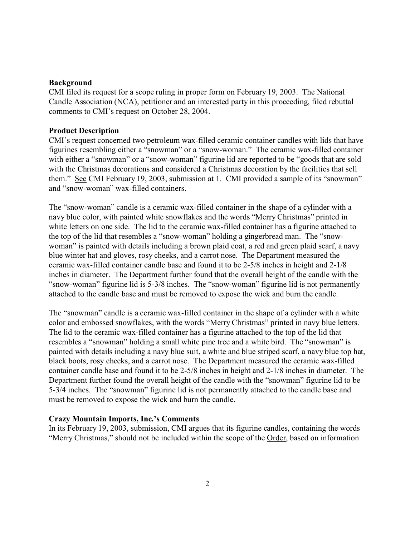### **Background**

CMI filed its request for a scope ruling in proper form on February 19, 2003. The National Candle Association (NCA), petitioner and an interested party in this proceeding, filed rebuttal comments to CMI's request on October 28, 2004.

## **Product Description**

CMI's request concerned two petroleum wax-filled ceramic container candles with lids that have figurines resembling either a "snowman" or a "snow-woman." The ceramic wax-filled container with either a "snowman" or a "snow-woman" figurine lid are reported to be "goods that are sold with the Christmas decorations and considered a Christmas decoration by the facilities that sell them." See CMI February 19, 2003, submission at 1. CMI provided a sample of its "snowman" and "snow-woman" wax-filled containers.

The "snow-woman" candle is a ceramic wax-filled container in the shape of a cylinder with a navy blue color, with painted white snowflakes and the words "Merry Christmas" printed in white letters on one side. The lid to the ceramic wax-filled container has a figurine attached to the top of the lid that resembles a "snow-woman" holding a gingerbread man. The "snowwoman" is painted with details including a brown plaid coat, a red and green plaid scarf, a navy blue winter hat and gloves, rosy cheeks, and a carrot nose. The Department measured the ceramic wax-filled container candle base and found it to be 2-5/8 inches in height and 2-1/8 inches in diameter. The Department further found that the overall height of the candle with the "snow-woman" figurine lid is 5-3/8 inches. The "snow-woman" figurine lid is not permanently attached to the candle base and must be removed to expose the wick and burn the candle.

The "snowman" candle is a ceramic wax-filled container in the shape of a cylinder with a white color and embossed snowflakes, with the words "Merry Christmas" printed in navy blue letters. The lid to the ceramic wax-filled container has a figurine attached to the top of the lid that resembles a "snowman" holding a small white pine tree and a white bird. The "snowman" is painted with details including a navy blue suit, a white and blue striped scarf, a navy blue top hat, black boots, rosy cheeks, and a carrot nose. The Department measured the ceramic wax-filled container candle base and found it to be 2-5/8 inches in height and 2-1/8 inches in diameter. The Department further found the overall height of the candle with the "snowman" figurine lid to be 5-3/4 inches. The "snowman" figurine lid is not permanently attached to the candle base and must be removed to expose the wick and burn the candle.

### **Crazy Mountain Imports, Inc.'s Comments**

In its February 19, 2003, submission, CMI argues that its figurine candles, containing the words "Merry Christmas," should not be included within the scope of the Order, based on information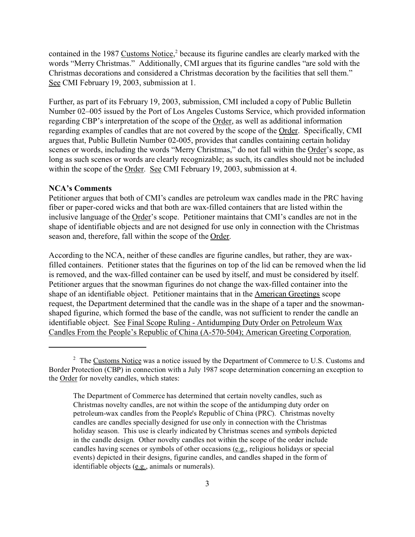contained in the 1987 Customs Notice,<sup>2</sup> because its figurine candles are clearly marked with the words "Merry Christmas." Additionally, CMI argues that its figurine candles "are sold with the Christmas decorations and considered a Christmas decoration by the facilities that sell them." See CMI February 19, 2003, submission at 1.

Further, as part of its February 19, 2003, submission, CMI included a copy of Public Bulletin Number 02–005 issued by the Port of Los Angeles Customs Service, which provided information regarding CBP's interpretation of the scope of the Order, as well as additional information regarding examples of candles that are not covered by the scope of the Order. Specifically, CMI argues that, Public Bulletin Number 02-005, provides that candles containing certain holiday scenes or words, including the words "Merry Christmas," do not fall within the Order's scope, as long as such scenes or words are clearly recognizable; as such, its candles should not be included within the scope of the Order. See CMI February 19, 2003, submission at 4.

#### **NCA's Comments**

Petitioner argues that both of CMI's candles are petroleum wax candles made in the PRC having fiber or paper-cored wicks and that both are wax-filled containers that are listed within the inclusive language of the Order's scope. Petitioner maintains that CMI's candles are not in the shape of identifiable objects and are not designed for use only in connection with the Christmas season and, therefore, fall within the scope of the Order.

According to the NCA, neither of these candles are figurine candles, but rather, they are waxfilled containers. Petitioner states that the figurines on top of the lid can be removed when the lid is removed, and the wax-filled container can be used by itself, and must be considered by itself. Petitioner argues that the snowman figurines do not change the wax-filled container into the shape of an identifiable object. Petitioner maintains that in the American Greetings scope request, the Department determined that the candle was in the shape of a taper and the snowmanshaped figurine, which formed the base of the candle, was not sufficient to render the candle an identifiable object. See Final Scope Ruling - Antidumping Duty Order on Petroleum Wax Candles From the People's Republic of China (A-570-504); American Greeting Corporation.

<sup>&</sup>lt;sup>2</sup> The Customs Notice was a notice issued by the Department of Commerce to U.S. Customs and Border Protection (CBP) in connection with a July 1987 scope determination concerning an exception to the Order for novelty candles, which states:

The Department of Commerce has determined that certain novelty candles, such as Christmas novelty candles, are not within the scope of the antidumping duty order on petroleum-wax candles from the People's Republic of China (PRC). Christmas novelty candles are candles specially designed for use only in connection with the Christmas holiday season. This use is clearly indicated by Christmas scenes and symbols depicted in the candle design. Other novelty candles not within the scope of the order include candles having scenes or symbols of other occasions (e.g., religious holidays or special events) depicted in their designs, figurine candles, and candles shaped in the form of identifiable objects (e.g., animals or numerals).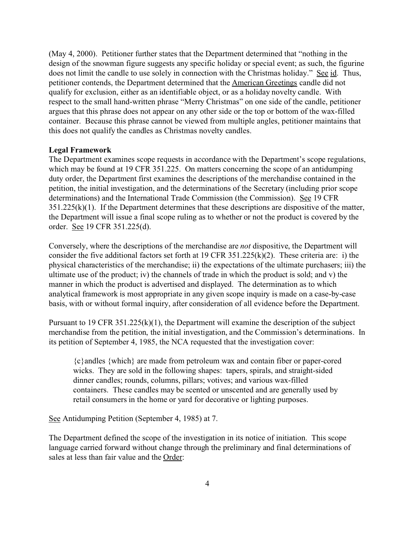(May 4, 2000). Petitioner further states that the Department determined that "nothing in the design of the snowman figure suggests any specific holiday or special event; as such, the figurine does not limit the candle to use solely in connection with the Christmas holiday." See id. Thus, petitioner contends, the Department determined that the American Greetings candle did not qualify for exclusion, either as an identifiable object, or as a holiday novelty candle. With respect to the small hand-written phrase "Merry Christmas" on one side of the candle, petitioner argues that this phrase does not appear on any other side or the top or bottom of the wax-filled container. Because this phrase cannot be viewed from multiple angles, petitioner maintains that this does not qualify the candles as Christmas novelty candles.

#### **Legal Framework**

The Department examines scope requests in accordance with the Department's scope regulations, which may be found at 19 CFR 351.225. On matters concerning the scope of an antidumping duty order, the Department first examines the descriptions of the merchandise contained in the petition, the initial investigation, and the determinations of the Secretary (including prior scope determinations) and the International Trade Commission (the Commission). See 19 CFR  $351.225(k)(1)$ . If the Department determines that these descriptions are dispositive of the matter, the Department will issue a final scope ruling as to whether or not the product is covered by the order. See 19 CFR 351.225(d).

Conversely, where the descriptions of the merchandise are *not* dispositive, the Department will consider the five additional factors set forth at 19 CFR 351.225(k)(2). These criteria are: i) the physical characteristics of the merchandise; ii) the expectations of the ultimate purchasers; iii) the ultimate use of the product; iv) the channels of trade in which the product is sold; and v) the manner in which the product is advertised and displayed. The determination as to which analytical framework is most appropriate in any given scope inquiry is made on a case-by-case basis, with or without formal inquiry, after consideration of all evidence before the Department.

Pursuant to 19 CFR 351.225(k)(1), the Department will examine the description of the subject merchandise from the petition, the initial investigation, and the Commission's determinations. In its petition of September 4, 1985, the NCA requested that the investigation cover:

{c}andles {which} are made from petroleum wax and contain fiber or paper-cored wicks. They are sold in the following shapes: tapers, spirals, and straight-sided dinner candles; rounds, columns, pillars; votives; and various wax-filled containers. These candles may be scented or unscented and are generally used by retail consumers in the home or yard for decorative or lighting purposes.

See Antidumping Petition (September 4, 1985) at 7.

The Department defined the scope of the investigation in its notice of initiation. This scope language carried forward without change through the preliminary and final determinations of sales at less than fair value and the Order: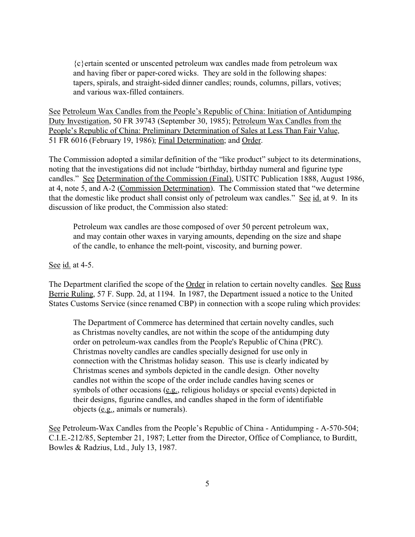{c}ertain scented or unscented petroleum wax candles made from petroleum wax and having fiber or paper-cored wicks. They are sold in the following shapes: tapers, spirals, and straight-sided dinner candles; rounds, columns, pillars, votives; and various wax-filled containers.

See Petroleum Wax Candles from the People's Republic of China: Initiation of Antidumping Duty Investigation, 50 FR 39743 (September 30, 1985); Petroleum Wax Candles from the People's Republic of China: Preliminary Determination of Sales at Less Than Fair Value, 51 FR 6016 (February 19, 1986); Final Determination; and Order.

The Commission adopted a similar definition of the "like product" subject to its determinations, noting that the investigations did not include "birthday, birthday numeral and figurine type candles." See Determination of the Commission (Final), USITC Publication 1888, August 1986, at 4, note 5, and A-2 (Commission Determination). The Commission stated that "we determine that the domestic like product shall consist only of petroleum wax candles." See id. at 9. In its discussion of like product, the Commission also stated:

Petroleum wax candles are those composed of over 50 percent petroleum wax, and may contain other waxes in varying amounts, depending on the size and shape of the candle, to enhance the melt-point, viscosity, and burning power.

See id. at 4-5.

The Department clarified the scope of the Order in relation to certain novelty candles. See Russ Berrie Ruling, 57 F. Supp. 2d, at 1194. In 1987, the Department issued a notice to the United States Customs Service (since renamed CBP) in connection with a scope ruling which provides:

The Department of Commerce has determined that certain novelty candles, such as Christmas novelty candles, are not within the scope of the antidumping duty order on petroleum-wax candles from the People's Republic of China (PRC). Christmas novelty candles are candles specially designed for use only in connection with the Christmas holiday season. This use is clearly indicated by Christmas scenes and symbols depicted in the candle design. Other novelty candles not within the scope of the order include candles having scenes or symbols of other occasions (e.g., religious holidays or special events) depicted in their designs, figurine candles, and candles shaped in the form of identifiable objects (e.g., animals or numerals).

See Petroleum-Wax Candles from the People's Republic of China - Antidumping - A-570-504; C.I.E.-212/85, September 21, 1987; Letter from the Director, Office of Compliance, to Burditt, Bowles & Radzius, Ltd., July 13, 1987.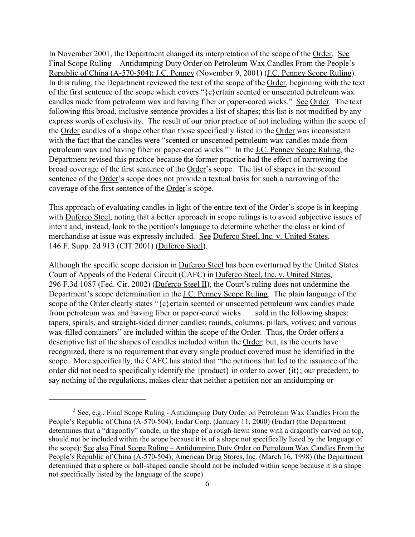In November 2001, the Department changed its interpretation of the scope of the Order. See Final Scope Ruling – Antidumping Duty Order on Petroleum Wax Candles From the People's Republic of China (A-570-504); J.C. Penney (November 9, 2001) (J.C. Penney Scope Ruling). In this ruling, the Department reviewed the text of the scope of the Order, beginning with the text of the first sentence of the scope which covers "{c}ertain scented or unscented petroleum wax candles made from petroleum wax and having fiber or paper-cored wicks." See Order. The text following this broad, inclusive sentence provides a list of shapes; this list is not modified by any express words of exclusivity. The result of our prior practice of not including within the scope of the Order candles of a shape other than those specifically listed in the Order was inconsistent with the fact that the candles were "scented or unscented petroleum wax candles made from petroleum wax and having fiber or paper-cored wicks."<sup>3</sup> In the J.C. Penney Scope Ruling, the Department revised this practice because the former practice had the effect of narrowing the broad coverage of the first sentence of the Order's scope. The list of shapes in the second sentence of the Order's scope does not provide a textual basis for such a narrowing of the coverage of the first sentence of the Order's scope.

This approach of evaluating candles in light of the entire text of the Order's scope is in keeping with Duferco Steel, noting that a better approach in scope rulings is to avoid subjective issues of intent and, instead, look to the petition's language to determine whether the class or kind of merchandise at issue was expressly included. See Duferco Steel, Inc. v. United States, 146 F. Supp. 2d 913 (CIT 2001) (Duferco Steel).

Although the specific scope decision in Duferco Steel has been overturned by the United States Court of Appeals of the Federal Circuit (CAFC) in Duferco Steel, Inc. v. United States, 296 F.3d 1087 (Fed. Cir. 2002) (Duferco Steel II), the Court's ruling does not undermine the Department's scope determination in the <u>J.C. Penney Scope Ruling</u>. The plain language of the scope of the Order clearly states " ${c}$ } ertain scented or unscented petroleum wax candles made from petroleum wax and having fiber or paper-cored wicks . . . sold in the following shapes: tapers, spirals, and straight-sided dinner candles; rounds, columns, pillars, votives; and various wax-filled containers" are included within the scope of the Order. Thus, the Order offers a descriptive list of the shapes of candles included within the Order; but, as the courts have recognized, there is no requirement that every single product covered must be identified in the scope. More specifically, the CAFC has stated that "the petitions that led to the issuance of the order did not need to specifically identify the {product} in order to cover {it}; our precedent, to say nothing of the regulations, makes clear that neither a petition nor an antidumping or

<sup>&</sup>lt;sup>3</sup> See, e.g., Final Scope Ruling - Antidumping Duty Order on Petroleum Wax Candles From the People's Republic of China (A-570-504); Endar Corp. (January 11, 2000) (Endar) (the Department determines that a "dragonfly" candle, in the shape of a rough-hewn stone with a dragonfly carved on top, should not be included within the scope because it is of a shape not specifically listed by the language of the scope); See also Final Scope Ruling – Antidumping Duty Order on Petroleum Wax Candles From the People's Republic of China (A-570-504); American Drug Stores, Inc. (March 16, 1998) (the Department determined that a sphere or ball-shaped candle should not be included within scope because it is a shape not specifically listed by the language of the scope).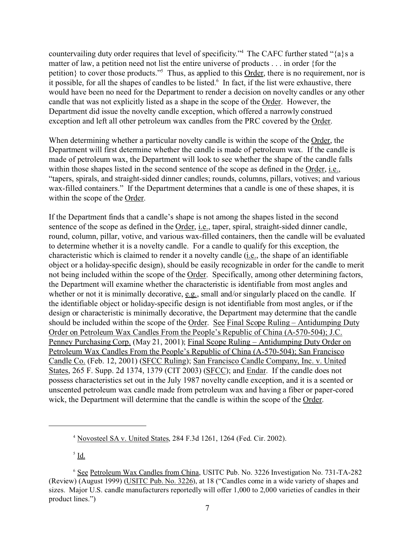countervailing duty order requires that level of specificity."<sup>4</sup> The CAFC further stated "{a}s a matter of law, a petition need not list the entire universe of products . . . in order {for the petition} to cover those products."<sup>5</sup> Thus, as applied to this Order, there is no requirement, nor is it possible, for all the shapes of candles to be listed.<sup>6</sup> In fact, if the list were exhaustive, there would have been no need for the Department to render a decision on novelty candles or any other candle that was not explicitly listed as a shape in the scope of the Order. However, the Department did issue the novelty candle exception, which offered a narrowly construed exception and left all other petroleum wax candles from the PRC covered by the Order.

When determining whether a particular novelty candle is within the scope of the Order, the Department will first determine whether the candle is made of petroleum wax. If the candle is made of petroleum wax, the Department will look to see whether the shape of the candle falls within those shapes listed in the second sentence of the scope as defined in the Order, i.e., "tapers, spirals, and straight-sided dinner candles; rounds, columns, pillars, votives; and various wax-filled containers." If the Department determines that a candle is one of these shapes, it is within the scope of the Order.

If the Department finds that a candle's shape is not among the shapes listed in the second sentence of the scope as defined in the Order, i.e., taper, spiral, straight-sided dinner candle, round, column, pillar, votive, and various wax-filled containers, then the candle will be evaluated to determine whether it is a novelty candle. For a candle to qualify for this exception, the characteristic which is claimed to render it a novelty candle (i.e., the shape of an identifiable object or a holiday-specific design), should be easily recognizable in order for the candle to merit not being included within the scope of the Order. Specifically, among other determining factors, the Department will examine whether the characteristic is identifiable from most angles and whether or not it is minimally decorative, e.g., small and/or singularly placed on the candle. If the identifiable object or holiday-specific design is not identifiable from most angles, or if the design or characteristic is minimally decorative, the Department may determine that the candle should be included within the scope of the Order. See Final Scope Ruling – Antidumping Duty Order on Petroleum Wax Candles From the People's Republic of China (A-570-504); J.C. Penney Purchasing Corp. (May 21, 2001); Final Scope Ruling – Antidumping Duty Order on Petroleum Wax Candles From the People's Republic of China (A-570-504); San Francisco Candle Co. (Feb. 12, 2001) (SFCC Ruling); San Francisco Candle Company, Inc. v. United States, 265 F. Supp. 2d 1374, 1379 (CIT 2003) (SFCC); and Endar. If the candle does not possess characteristics set out in the July 1987 novelty candle exception, and it is a scented or unscented petroleum wax candle made from petroleum wax and having a fiber or paper-cored wick, the Department will determine that the candle is within the scope of the Order.

 $^5$  <u>Id.</u>

<sup>4</sup> Novosteel SA v. United States, 284 F.3d 1261, 1264 (Fed. Cir. 2002).

<sup>6</sup> See Petroleum Wax Candles from China, USITC Pub. No. 3226 Investigation No. 731-TA-282 (Review) (August 1999) (USITC Pub. No. 3226), at 18 ("Candles come in a wide variety of shapes and sizes. Major U.S. candle manufacturers reportedly will offer 1,000 to 2,000 varieties of candles in their product lines.")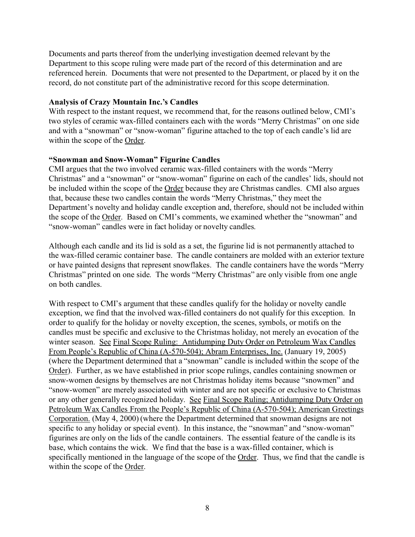Documents and parts thereof from the underlying investigation deemed relevant by the Department to this scope ruling were made part of the record of this determination and are referenced herein. Documents that were not presented to the Department, or placed by it on the record, do not constitute part of the administrative record for this scope determination.

## **Analysis of Crazy Mountain Inc.'s Candles**

With respect to the instant request, we recommend that, for the reasons outlined below, CMI's two styles of ceramic wax-filled containers each with the words "Merry Christmas" on one side and with a "snowman" or "snow-woman" figurine attached to the top of each candle's lid are within the scope of the Order.

## **"Snowman and Snow-Woman" Figurine Candles**

CMI argues that the two involved ceramic wax-filled containers with the words "Merry Christmas" and a "snowman" or "snow-woman" figurine on each of the candles' lids, should not be included within the scope of the Order because they are Christmas candles. CMI also argues that, because these two candles contain the words "Merry Christmas," they meet the Department's novelty and holiday candle exception and, therefore, should not be included within the scope of the Order. Based on CMI's comments, we examined whether the "snowman" and "snow-woman" candles were in fact holiday or novelty candles.

Although each candle and its lid is sold as a set, the figurine lid is not permanently attached to the wax-filled ceramic container base. The candle containers are molded with an exterior texture or have painted designs that represent snowflakes. The candle containers have the words "Merry Christmas" printed on one side. The words "Merry Christmas" are only visible from one angle on both candles.

With respect to CMI's argument that these candles qualify for the holiday or novelty candle exception, we find that the involved wax-filled containers do not qualify for this exception. In order to qualify for the holiday or novelty exception, the scenes, symbols, or motifs on the candles must be specific and exclusive to the Christmas holiday, not merely an evocation of the winter season. See Final Scope Ruling: Antidumping Duty Order on Petroleum Wax Candles From People's Republic of China (A-570-504); Abram Enterprises, Inc. (January 19, 2005) (where the Department determined that a "snowman" candle is included within the scope of the Order). Further, as we have established in prior scope rulings, candles containing snowmen or snow-women designs by themselves are not Christmas holiday items because "snowmen" and "snow-women" are merely associated with winter and are not specific or exclusive to Christmas or any other generally recognized holiday. See Final Scope Ruling; Antidumping Duty Order on Petroleum Wax Candles From the People's Republic of China (A-570-504); American Greetings Corporation. (May 4, 2000) (where the Department determined that snowman designs are not specific to any holiday or special event). In this instance, the "snowman" and "snow-woman" figurines are only on the lids of the candle containers. The essential feature of the candle is its base, which contains the wick. We find that the base is a wax-filled container, which is specifically mentioned in the language of the scope of the Order. Thus, we find that the candle is within the scope of the Order.